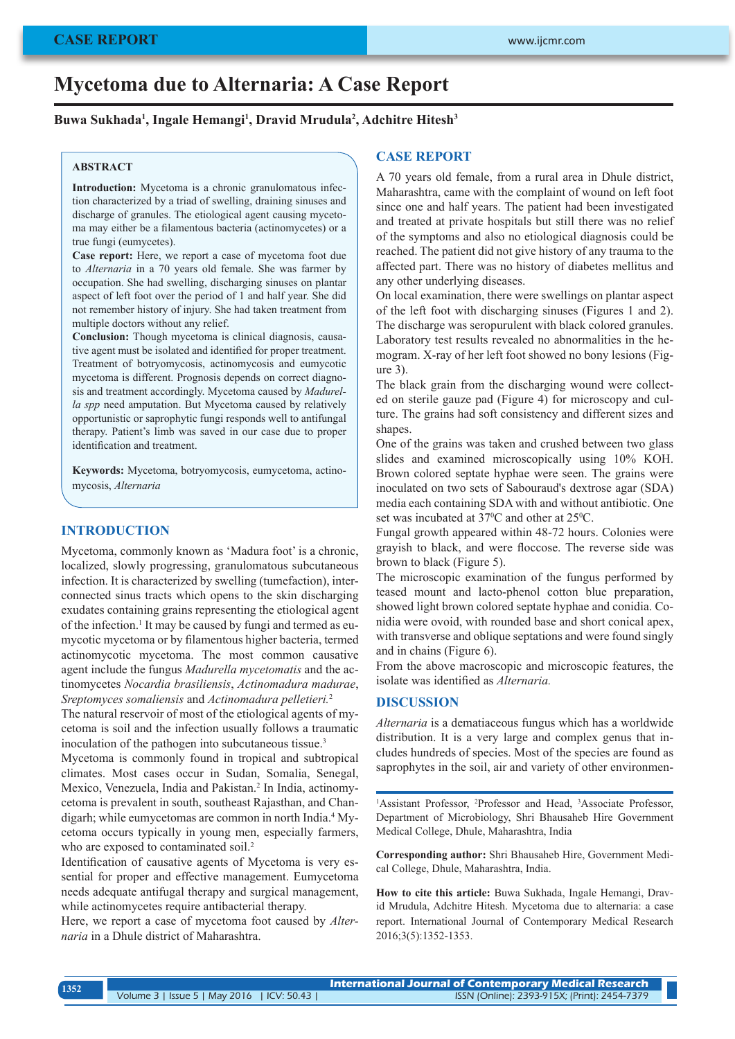# **Mycetoma due to Alternaria: A Case Report**

## **Buwa Sukhada1 , Ingale Hemangi1 , Dravid Mrudula2 , Adchitre Hitesh3**

## **ABSTRACT**

**Introduction:** Mycetoma is a chronic granulomatous infection characterized by a triad of swelling, draining sinuses and discharge of granules. The etiological agent causing mycetoma may either be a filamentous bacteria (actinomycetes) or a true fungi (eumycetes).

**Case report:** Here, we report a case of mycetoma foot due to *Alternaria* in a 70 years old female. She was farmer by occupation. She had swelling, discharging sinuses on plantar aspect of left foot over the period of 1 and half year. She did not remember history of injury. She had taken treatment from multiple doctors without any relief.

**Conclusion:** Though mycetoma is clinical diagnosis, causative agent must be isolated and identified for proper treatment. Treatment of botryomycosis, actinomycosis and eumycotic mycetoma is different. Prognosis depends on correct diagnosis and treatment accordingly. Mycetoma caused by *Madurella spp* need amputation. But Mycetoma caused by relatively opportunistic or saprophytic fungi responds well to antifungal therapy. Patient's limb was saved in our case due to proper identification and treatment.

**Keywords:** Mycetoma, botryomycosis, eumycetoma, actinomycosis, *Alternaria*

### **INTRODUCTION**

Mycetoma, commonly known as 'Madura foot' is a chronic, localized, slowly progressing, granulomatous subcutaneous infection. It is characterized by swelling (tumefaction), interconnected sinus tracts which opens to the skin discharging exudates containing grains representing the etiological agent of the infection.<sup>1</sup> It may be caused by fungi and termed as eumycotic mycetoma or by filamentous higher bacteria, termed actinomycotic mycetoma. The most common causative agent include the fungus *Madurella mycetomatis* and the actinomycetes *Nocardia brasiliensis*, *Actinomadura madurae*, *Sreptomyces somaliensis* and *Actinomadura pelletieri.*<sup>2</sup>

The natural reservoir of most of the etiological agents of mycetoma is soil and the infection usually follows a traumatic inoculation of the pathogen into subcutaneous tissue.<sup>3</sup>

Mycetoma is commonly found in tropical and subtropical climates. Most cases occur in Sudan, Somalia, Senegal, Mexico, Venezuela, India and Pakistan.<sup>2</sup> In India, actinomycetoma is prevalent in south, southeast Rajasthan, and Chandigarh; while eumycetomas are common in north India.<sup>4</sup> Mycetoma occurs typically in young men, especially farmers, who are exposed to contaminated soil.<sup>2</sup>

Identification of causative agents of Mycetoma is very essential for proper and effective management. Eumycetoma needs adequate antifugal therapy and surgical management, while actinomycetes require antibacterial therapy.

Here, we report a case of mycetoma foot caused by *Alternaria* in a Dhule district of Maharashtra.

# **CASE REPORT**

A 70 years old female, from a rural area in Dhule district, Maharashtra, came with the complaint of wound on left foot since one and half years. The patient had been investigated and treated at private hospitals but still there was no relief of the symptoms and also no etiological diagnosis could be reached. The patient did not give history of any trauma to the affected part. There was no history of diabetes mellitus and any other underlying diseases.

On local examination, there were swellings on plantar aspect of the left foot with discharging sinuses (Figures 1 and 2). The discharge was seropurulent with black colored granules. Laboratory test results revealed no abnormalities in the hemogram. X-ray of her left foot showed no bony lesions (Figure 3).

The black grain from the discharging wound were collected on sterile gauze pad (Figure 4) for microscopy and culture. The grains had soft consistency and different sizes and shapes.

One of the grains was taken and crushed between two glass slides and examined microscopically using 10% KOH. Brown colored septate hyphae were seen. The grains were inoculated on two sets of Sabouraud's dextrose agar (SDA) media each containing SDA with and without antibiotic. One set was incubated at  $37^{\circ}$ C and other at  $25^{\circ}$ C.

Fungal growth appeared within 48-72 hours. Colonies were grayish to black, and were floccose. The reverse side was brown to black (Figure 5).

The microscopic examination of the fungus performed by teased mount and lacto-phenol cotton blue preparation, showed light brown colored septate hyphae and conidia. Conidia were ovoid, with rounded base and short conical apex, with transverse and oblique septations and were found singly and in chains (Figure 6).

From the above macroscopic and microscopic features, the isolate was identified as *Alternaria.*

#### **DISCUSSION**

*Alternaria* is a dematiaceous fungus which has a worldwide distribution. It is a very large and complex genus that includes hundreds of species. Most of the species are found as saprophytes in the soil, air and variety of other environmen-

<sup>1</sup>Assistant Professor, <sup>2</sup>Professor and Head, <sup>3</sup>Associate Professor, Department of Microbiology, Shri Bhausaheb Hire Government Medical College, Dhule, Maharashtra, India

**Corresponding author:** Shri Bhausaheb Hire, Government Medical College, Dhule, Maharashtra, India.

**How to cite this article:** Buwa Sukhada, Ingale Hemangi, Dravid Mrudula, Adchitre Hitesh. Mycetoma due to alternaria: a case report. International Journal of Contemporary Medical Research 2016;3(5):1352-1353.